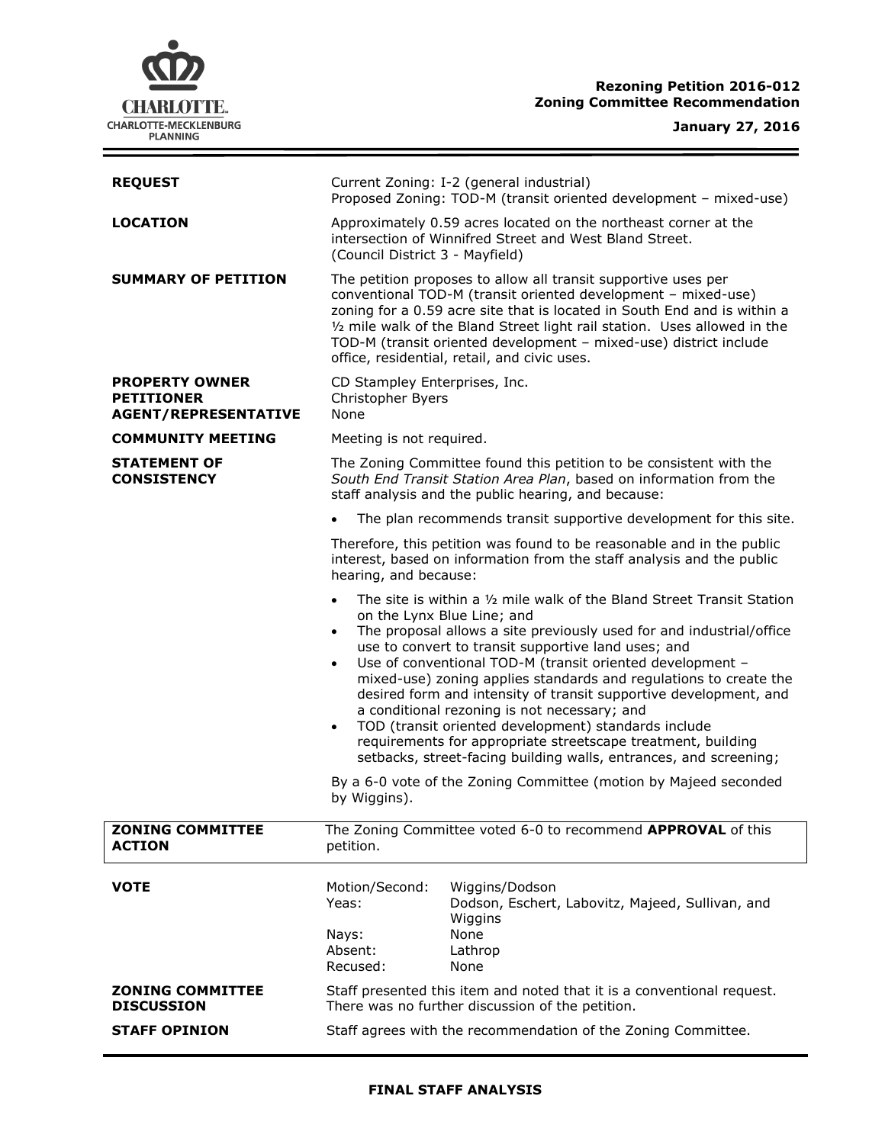

## **Rezoning Petition 2016-012 Zoning Committee Recommendation**

# **January 27, 2016**

 $\equiv$ 

| <b>REQUEST</b>                                                            | Current Zoning: I-2 (general industrial)                                                                                                                                                                                                                                                                                                                                                                                                                                                                                                                                                                                                                                                                                                                                                                        |
|---------------------------------------------------------------------------|-----------------------------------------------------------------------------------------------------------------------------------------------------------------------------------------------------------------------------------------------------------------------------------------------------------------------------------------------------------------------------------------------------------------------------------------------------------------------------------------------------------------------------------------------------------------------------------------------------------------------------------------------------------------------------------------------------------------------------------------------------------------------------------------------------------------|
|                                                                           | Proposed Zoning: TOD-M (transit oriented development - mixed-use)                                                                                                                                                                                                                                                                                                                                                                                                                                                                                                                                                                                                                                                                                                                                               |
| <b>LOCATION</b>                                                           | Approximately 0.59 acres located on the northeast corner at the<br>intersection of Winnifred Street and West Bland Street.<br>(Council District 3 - Mayfield)                                                                                                                                                                                                                                                                                                                                                                                                                                                                                                                                                                                                                                                   |
| <b>SUMMARY OF PETITION</b>                                                | The petition proposes to allow all transit supportive uses per<br>conventional TOD-M (transit oriented development - mixed-use)<br>zoning for a 0.59 acre site that is located in South End and is within a<br>1/2 mile walk of the Bland Street light rail station. Uses allowed in the<br>TOD-M (transit oriented development - mixed-use) district include<br>office, residential, retail, and civic uses.                                                                                                                                                                                                                                                                                                                                                                                                   |
| <b>PROPERTY OWNER</b><br><b>PETITIONER</b><br><b>AGENT/REPRESENTATIVE</b> | CD Stampley Enterprises, Inc.<br>Christopher Byers<br>None                                                                                                                                                                                                                                                                                                                                                                                                                                                                                                                                                                                                                                                                                                                                                      |
| <b>COMMUNITY MEETING</b>                                                  | Meeting is not required.                                                                                                                                                                                                                                                                                                                                                                                                                                                                                                                                                                                                                                                                                                                                                                                        |
| <b>STATEMENT OF</b><br><b>CONSISTENCY</b>                                 | The Zoning Committee found this petition to be consistent with the<br>South End Transit Station Area Plan, based on information from the<br>staff analysis and the public hearing, and because:                                                                                                                                                                                                                                                                                                                                                                                                                                                                                                                                                                                                                 |
|                                                                           | The plan recommends transit supportive development for this site.                                                                                                                                                                                                                                                                                                                                                                                                                                                                                                                                                                                                                                                                                                                                               |
|                                                                           | Therefore, this petition was found to be reasonable and in the public<br>interest, based on information from the staff analysis and the public<br>hearing, and because:                                                                                                                                                                                                                                                                                                                                                                                                                                                                                                                                                                                                                                         |
|                                                                           | The site is within a 1/2 mile walk of the Bland Street Transit Station<br>$\bullet$<br>on the Lynx Blue Line; and<br>The proposal allows a site previously used for and industrial/office<br>$\bullet$<br>use to convert to transit supportive land uses; and<br>Use of conventional TOD-M (transit oriented development -<br>$\bullet$<br>mixed-use) zoning applies standards and regulations to create the<br>desired form and intensity of transit supportive development, and<br>a conditional rezoning is not necessary; and<br>TOD (transit oriented development) standards include<br>$\bullet$<br>requirements for appropriate streetscape treatment, building<br>setbacks, street-facing building walls, entrances, and screening;<br>By a 6-0 vote of the Zoning Committee (motion by Majeed seconded |
|                                                                           | by Wiggins).                                                                                                                                                                                                                                                                                                                                                                                                                                                                                                                                                                                                                                                                                                                                                                                                    |
| <b>ZONING COMMITTEE</b><br><b>ACTION</b>                                  | The Zoning Committee voted 6-0 to recommend APPROVAL of this<br>petition.                                                                                                                                                                                                                                                                                                                                                                                                                                                                                                                                                                                                                                                                                                                                       |
| <b>VOTE</b>                                                               | Motion/Second:<br>Wiggins/Dodson<br>Yeas:<br>Dodson, Eschert, Labovitz, Majeed, Sullivan, and<br>Wiggins<br>None<br>Nays:<br>Absent:<br>Lathrop<br>Recused:<br>None                                                                                                                                                                                                                                                                                                                                                                                                                                                                                                                                                                                                                                             |
| <b>ZONING COMMITTEE</b><br><b>DISCUSSION</b>                              | Staff presented this item and noted that it is a conventional request.<br>There was no further discussion of the petition.                                                                                                                                                                                                                                                                                                                                                                                                                                                                                                                                                                                                                                                                                      |
| <b>STAFF OPINION</b>                                                      | Staff agrees with the recommendation of the Zoning Committee.                                                                                                                                                                                                                                                                                                                                                                                                                                                                                                                                                                                                                                                                                                                                                   |